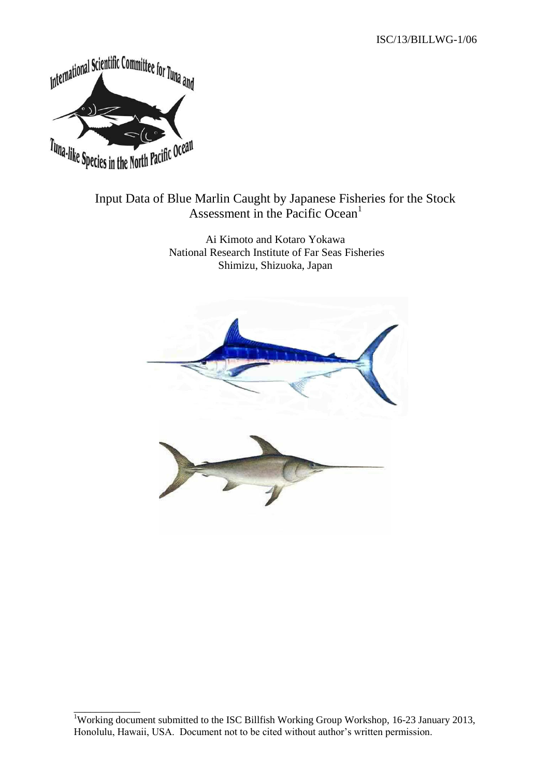ISC/13/BILLWG-1/06



\_\_\_\_\_\_\_\_\_\_\_\_

# Input Data of Blue Marlin Caught by Japanese Fisheries for the Stock Assessment in the Pacific Ocean<sup>1</sup>

Ai Kimoto and Kotaro Yokawa National Research Institute of Far Seas Fisheries Shimizu, Shizuoka, Japan



<sup>&</sup>lt;sup>1</sup>Working document submitted to the ISC Billfish Working Group Workshop, 16-23 January 2013, Honolulu, Hawaii, USA. Document not to be cited without author's written permission.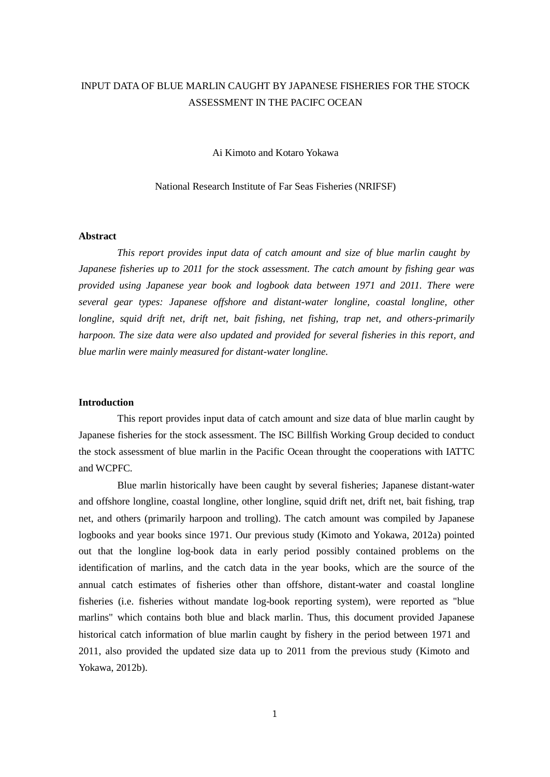# INPUT DATA OF BLUE MARLIN CAUGHT BY JAPANESE FISHERIES FOR THE STOCK ASSESSMENT IN THE PACIFC OCEAN

Ai Kimoto and Kotaro Yokawa

National Research Institute of Far Seas Fisheries (NRIFSF)

#### **Abstract**

*This report provides input data of catch amount and size of blue marlin caught by Japanese fisheries up to 2011 for the stock assessment. The catch amount by fishing gear was provided using Japanese year book and logbook data between 1971 and 2011. There were several gear types: Japanese offshore and distant-water longline, coastal longline, other longline, squid drift net, drift net, bait fishing, net fishing, trap net, and others-primarily harpoon. The size data were also updated and provided for several fisheries in this report, and blue marlin were mainly measured for distant-water longline.*

#### **Introduction**

This report provides input data of catch amount and size data of blue marlin caught by Japanese fisheries for the stock assessment. The ISC Billfish Working Group decided to conduct the stock assessment of blue marlin in the Pacific Ocean throught the cooperations with IATTC and WCPFC.

Blue marlin historically have been caught by several fisheries; Japanese distant-water and offshore longline, coastal longline, other longline, squid drift net, drift net, bait fishing, trap net, and others (primarily harpoon and trolling). The catch amount was compiled by Japanese logbooks and year books since 1971. Our previous study (Kimoto and Yokawa, 2012a) pointed out that the longline log-book data in early period possibly contained problems on the identification of marlins, and the catch data in the year books, which are the source of the annual catch estimates of fisheries other than offshore, distant-water and coastal longline fisheries (i.e. fisheries without mandate log-book reporting system), were reported as "blue marlins" which contains both blue and black marlin. Thus, this document provided Japanese historical catch information of blue marlin caught by fishery in the period between 1971 and 2011, also provided the updated size data up to 2011 from the previous study (Kimoto and Yokawa, 2012b).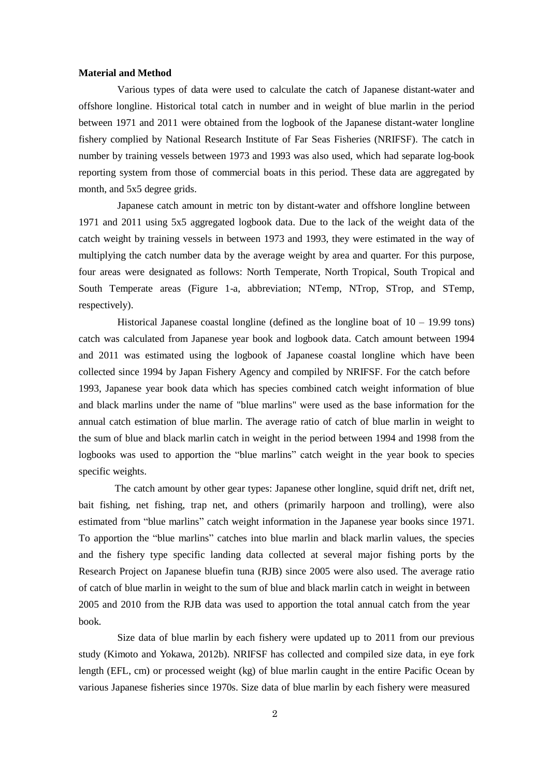#### **Material and Method**

Various types of data were used to calculate the catch of Japanese distant-water and offshore longline. Historical total catch in number and in weight of blue marlin in the period between 1971 and 2011 were obtained from the logbook of the Japanese distant-water longline fishery complied by National Research Institute of Far Seas Fisheries (NRIFSF). The catch in number by training vessels between 1973 and 1993 was also used, which had separate log-book reporting system from those of commercial boats in this period. These data are aggregated by month, and 5x5 degree grids.

Japanese catch amount in metric ton by distant-water and offshore longline between 1971 and 2011 using 5x5 aggregated logbook data. Due to the lack of the weight data of the catch weight by training vessels in between 1973 and 1993, they were estimated in the way of multiplying the catch number data by the average weight by area and quarter. For this purpose, four areas were designated as follows: North Temperate, North Tropical, South Tropical and South Temperate areas (Figure 1-a, abbreviation; NTemp, NTrop, STrop, and STemp, respectively).

Historical Japanese coastal longline (defined as the longline boat of  $10 - 19.99$  tons) catch was calculated from Japanese year book and logbook data. Catch amount between 1994 and 2011 was estimated using the logbook of Japanese coastal longline which have been collected since 1994 by Japan Fishery Agency and compiled by NRIFSF. For the catch before 1993, Japanese year book data which has species combined catch weight information of blue and black marlins under the name of "blue marlins" were used as the base information for the annual catch estimation of blue marlin. The average ratio of catch of blue marlin in weight to the sum of blue and black marlin catch in weight in the period between 1994 and 1998 from the logbooks was used to apportion the "blue marlins" catch weight in the year book to species specific weights.

The catch amount by other gear types: Japanese other longline, squid drift net, drift net, bait fishing, net fishing, trap net, and others (primarily harpoon and trolling), were also estimated from "blue marlins" catch weight information in the Japanese year books since 1971. To apportion the "blue marlins" catches into blue marlin and black marlin values, the species and the fishery type specific landing data collected at several major fishing ports by the Research Project on Japanese bluefin tuna (RJB) since 2005 were also used. The average ratio of catch of blue marlin in weight to the sum of blue and black marlin catch in weight in between 2005 and 2010 from the RJB data was used to apportion the total annual catch from the year book.

Size data of blue marlin by each fishery were updated up to 2011 from our previous study (Kimoto and Yokawa, 2012b). NRIFSF has collected and compiled size data, in eye fork length (EFL, cm) or processed weight (kg) of blue marlin caught in the entire Pacific Ocean by various Japanese fisheries since 1970s. Size data of blue marlin by each fishery were measured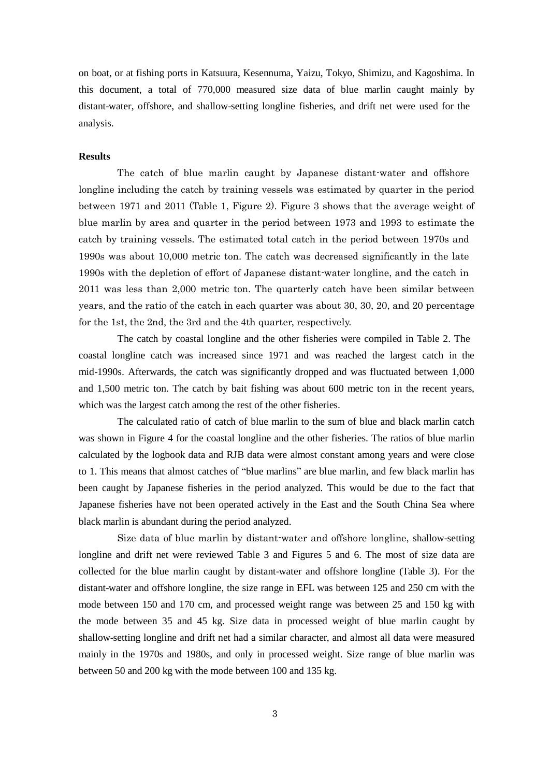on boat, or at fishing ports in Katsuura, Kesennuma, Yaizu, Tokyo, Shimizu, and Kagoshima. In this document, a total of 770,000 measured size data of blue marlin caught mainly by distant-water, offshore, and shallow-setting longline fisheries, and drift net were used for the analysis.

### **Results**

The catch of blue marlin caught by Japanese distant-water and offshore longline including the catch by training vessels was estimated by quarter in the period between 1971 and 2011 (Table 1, Figure 2). Figure 3 shows that the average weight of blue marlin by area and quarter in the period between 1973 and 1993 to estimate the catch by training vessels. The estimated total catch in the period between 1970s and 1990s was about 10,000 metric ton. The catch was decreased significantly in the late 1990s with the depletion of effort of Japanese distant-water longline, and the catch in 2011 was less than 2,000 metric ton. The quarterly catch have been similar between years, and the ratio of the catch in each quarter was about 30, 30, 20, and 20 percentage for the 1st, the 2nd, the 3rd and the 4th quarter, respectively.

The catch by coastal longline and the other fisheries were compiled in Table 2. The coastal longline catch was increased since 1971 and was reached the largest catch in the mid-1990s. Afterwards, the catch was significantly dropped and was fluctuated between 1,000 and 1,500 metric ton. The catch by bait fishing was about 600 metric ton in the recent years, which was the largest catch among the rest of the other fisheries.

The calculated ratio of catch of blue marlin to the sum of blue and black marlin catch was shown in Figure 4 for the coastal longline and the other fisheries. The ratios of blue marlin calculated by the logbook data and RJB data were almost constant among years and were close to 1. This means that almost catches of "blue marlins" are blue marlin, and few black marlin has been caught by Japanese fisheries in the period analyzed. This would be due to the fact that Japanese fisheries have not been operated actively in the East and the South China Sea where black marlin is abundant during the period analyzed.

Size data of blue marlin by distant-water and offshore longline, shallow-setting longline and drift net were reviewed Table 3 and Figures 5 and 6. The most of size data are collected for the blue marlin caught by distant-water and offshore longline (Table 3). For the distant-water and offshore longline, the size range in EFL was between 125 and 250 cm with the mode between 150 and 170 cm, and processed weight range was between 25 and 150 kg with the mode between 35 and 45 kg. Size data in processed weight of blue marlin caught by shallow-setting longline and drift net had a similar character, and almost all data were measured mainly in the 1970s and 1980s, and only in processed weight. Size range of blue marlin was between 50 and 200 kg with the mode between 100 and 135 kg.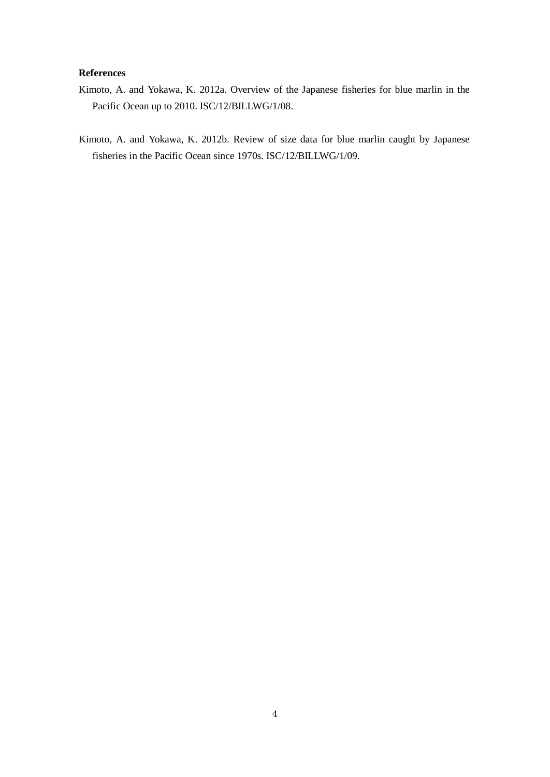## **References**

- Kimoto, A. and Yokawa, K. 2012a. Overview of the Japanese fisheries for blue marlin in the Pacific Ocean up to 2010. ISC/12/BILLWG/1/08.
- Kimoto, A. and Yokawa, K. 2012b. Review of size data for blue marlin caught by Japanese fisheries in the Pacific Ocean since 1970s. ISC/12/BILLWG/1/09.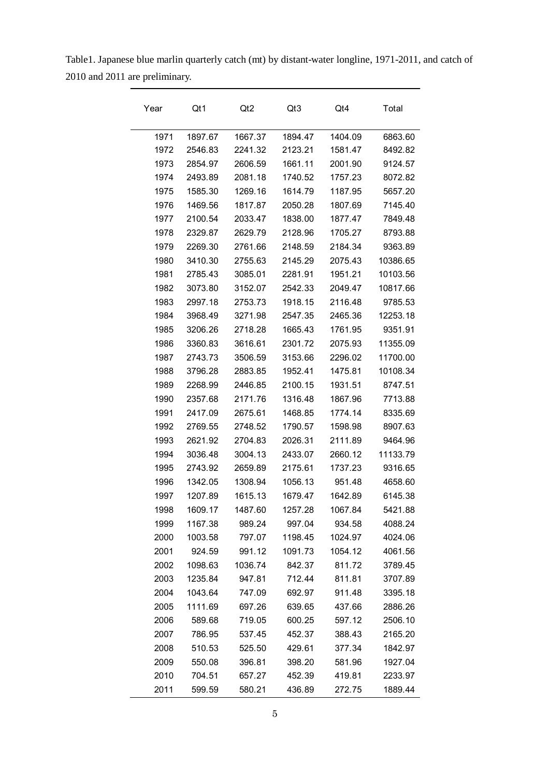Year Qt1 Qt2 Qt3 Qt4 Total 1897.67 1667.37 1894.47 1404.09 6863.60 2546.83 2241.32 2123.21 1581.47 8492.82 2854.97 2606.59 1661.11 2001.90 9124.57 2493.89 2081.18 1740.52 1757.23 8072.82 1585.30 1269.16 1614.79 1187.95 5657.20 1469.56 1817.87 2050.28 1807.69 7145.40 2100.54 2033.47 1838.00 1877.47 7849.48 2329.87 2629.79 2128.96 1705.27 8793.88 2269.30 2761.66 2148.59 2184.34 9363.89 3410.30 2755.63 2145.29 2075.43 10386.65 2785.43 3085.01 2281.91 1951.21 10103.56 3073.80 3152.07 2542.33 2049.47 10817.66 2997.18 2753.73 1918.15 2116.48 9785.53 3968.49 3271.98 2547.35 2465.36 12253.18 3206.26 2718.28 1665.43 1761.95 9351.91 3360.83 3616.61 2301.72 2075.93 11355.09 2743.73 3506.59 3153.66 2296.02 11700.00 3796.28 2883.85 1952.41 1475.81 10108.34 2268.99 2446.85 2100.15 1931.51 8747.51 2357.68 2171.76 1316.48 1867.96 7713.88 2417.09 2675.61 1468.85 1774.14 8335.69 2769.55 2748.52 1790.57 1598.98 8907.63 2621.92 2704.83 2026.31 2111.89 9464.96 3036.48 3004.13 2433.07 2660.12 11133.79 2743.92 2659.89 2175.61 1737.23 9316.65 1342.05 1308.94 1056.13 951.48 4658.60 1207.89 1615.13 1679.47 1642.89 6145.38 1609.17 1487.60 1257.28 1067.84 5421.88 1167.38 989.24 997.04 934.58 4088.24 1003.58 797.07 1198.45 1024.97 4024.06 924.59 991.12 1091.73 1054.12 4061.56 1098.63 1036.74 842.37 811.72 3789.45 1235.84 947.81 712.44 811.81 3707.89 1043.64 747.09 692.97 911.48 3395.18 1111.69 697.26 639.65 437.66 2886.26 589.68 719.05 600.25 597.12 2506.10 786.95 537.45 452.37 388.43 2165.20 510.53 525.50 429.61 377.34 1842.97 550.08 396.81 398.20 581.96 1927.04 704.51 657.27 452.39 419.81 2233.97 599.59 580.21 436.89 272.75 1889.44

| Table 1. Japanese blue marlin quarterly catch (mt) by distant-water longline, 1971-2011, and catch of |  |
|-------------------------------------------------------------------------------------------------------|--|
| 2010 and 2011 are preliminary.                                                                        |  |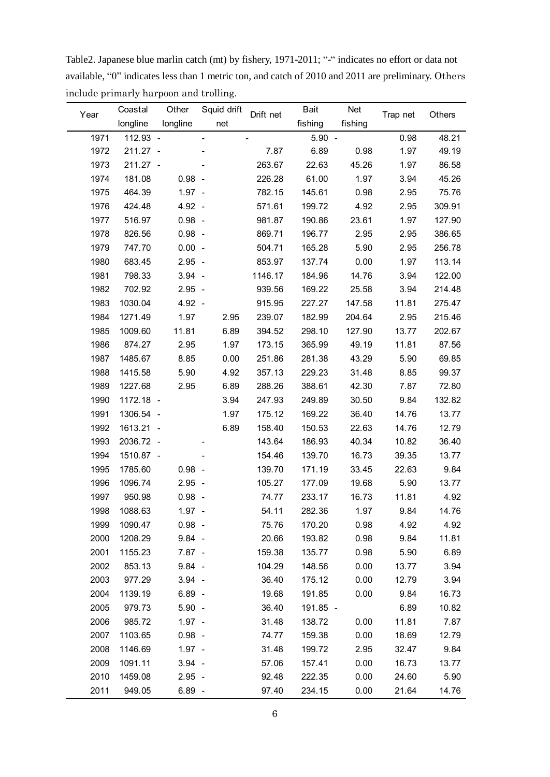|      | $\frac{1}{2}$ . The poo<br>Coastal | Other    | Squid drift |           | Bait     | Net     |          |        |
|------|------------------------------------|----------|-------------|-----------|----------|---------|----------|--------|
| Year | longline                           | longline | net         | Drift net | fishing  | fishing | Trap net | Others |
| 1971 | 112.93 -                           |          |             |           | $5.90 -$ |         | 0.98     | 48.21  |
| 1972 | 211.27 -                           |          |             | 7.87      | 6.89     | 0.98    | 1.97     | 49.19  |
| 1973 | 211.27 -                           |          |             | 263.67    | 22.63    | 45.26   | 1.97     | 86.58  |
| 1974 | 181.08                             | $0.98 -$ |             | 226.28    | 61.00    | 1.97    | 3.94     | 45.26  |
| 1975 | 464.39                             | $1.97 -$ |             | 782.15    | 145.61   | 0.98    | 2.95     | 75.76  |
| 1976 | 424.48                             | $4.92 -$ |             | 571.61    | 199.72   | 4.92    | 2.95     | 309.91 |
| 1977 | 516.97                             | $0.98 -$ |             | 981.87    | 190.86   | 23.61   | 1.97     | 127.90 |
| 1978 | 826.56                             | $0.98 -$ |             | 869.71    | 196.77   | 2.95    | 2.95     | 386.65 |
| 1979 | 747.70                             | $0.00 -$ |             | 504.71    | 165.28   | 5.90    | 2.95     | 256.78 |
| 1980 | 683.45                             | $2.95 -$ |             | 853.97    | 137.74   | 0.00    | 1.97     | 113.14 |
| 1981 | 798.33                             | $3.94 -$ |             | 1146.17   | 184.96   | 14.76   | 3.94     | 122.00 |
| 1982 | 702.92                             | $2.95 -$ |             | 939.56    | 169.22   | 25.58   | 3.94     | 214.48 |
| 1983 | 1030.04                            | $4.92 -$ |             | 915.95    | 227.27   | 147.58  | 11.81    | 275.47 |
| 1984 | 1271.49                            | 1.97     | 2.95        | 239.07    | 182.99   | 204.64  | 2.95     | 215.46 |
| 1985 | 1009.60                            | 11.81    | 6.89        | 394.52    | 298.10   | 127.90  | 13.77    | 202.67 |
| 1986 | 874.27                             | 2.95     | 1.97        | 173.15    | 365.99   | 49.19   | 11.81    | 87.56  |
| 1987 | 1485.67                            | 8.85     | 0.00        | 251.86    | 281.38   | 43.29   | 5.90     | 69.85  |
| 1988 | 1415.58                            | 5.90     | 4.92        | 357.13    | 229.23   | 31.48   | 8.85     | 99.37  |
| 1989 | 1227.68                            | 2.95     | 6.89        | 288.26    | 388.61   | 42.30   | 7.87     | 72.80  |
| 1990 | 1172.18 -                          |          | 3.94        | 247.93    | 249.89   | 30.50   | 9.84     | 132.82 |
| 1991 | 1306.54 -                          |          | 1.97        | 175.12    | 169.22   | 36.40   | 14.76    | 13.77  |
| 1992 | 1613.21 -                          |          | 6.89        | 158.40    | 150.53   | 22.63   | 14.76    | 12.79  |
| 1993 | 2036.72 -                          |          |             | 143.64    | 186.93   | 40.34   | 10.82    | 36.40  |
| 1994 | 1510.87 -                          |          |             | 154.46    | 139.70   | 16.73   | 39.35    | 13.77  |
| 1995 | 1785.60                            | $0.98 -$ |             | 139.70    | 171.19   | 33.45   | 22.63    | 9.84   |
| 1996 | 1096.74                            | $2.95 -$ |             | 105.27    | 177.09   | 19.68   | 5.90     | 13.77  |
| 1997 | 950.98                             | $0.98 -$ |             | 74.77     | 233.17   | 16.73   | 11.81    | 4.92   |
| 1998 | 1088.63                            | $1.97 -$ |             | 54.11     | 282.36   | 1.97    | 9.84     | 14.76  |
| 1999 | 1090.47                            | $0.98 -$ |             | 75.76     | 170.20   | 0.98    | 4.92     | 4.92   |
| 2000 | 1208.29                            | $9.84 -$ |             | 20.66     | 193.82   | 0.98    | 9.84     | 11.81  |
| 2001 | 1155.23                            | $7.87 -$ |             | 159.38    | 135.77   | 0.98    | 5.90     | 6.89   |
| 2002 | 853.13                             | $9.84 -$ |             | 104.29    | 148.56   | 0.00    | 13.77    | 3.94   |
| 2003 | 977.29                             | $3.94 -$ |             | 36.40     | 175.12   | 0.00    | 12.79    | 3.94   |
| 2004 | 1139.19                            | $6.89 -$ |             | 19.68     | 191.85   | 0.00    | 9.84     | 16.73  |
| 2005 | 979.73                             | $5.90 -$ |             | 36.40     | 191.85 - |         | 6.89     | 10.82  |
| 2006 | 985.72                             | $1.97 -$ |             | 31.48     | 138.72   | 0.00    | 11.81    | 7.87   |
| 2007 | 1103.65                            | $0.98 -$ |             | 74.77     | 159.38   | 0.00    | 18.69    | 12.79  |
| 2008 | 1146.69                            | $1.97 -$ |             | 31.48     | 199.72   | 2.95    | 32.47    | 9.84   |
| 2009 | 1091.11                            | $3.94 -$ |             | 57.06     | 157.41   | 0.00    | 16.73    | 13.77  |
| 2010 | 1459.08                            | $2.95 -$ |             | 92.48     | 222.35   | 0.00    | 24.60    | 5.90   |
| 2011 | 949.05                             | $6.89 -$ |             | 97.40     | 234.15   | 0.00    | 21.64    | 14.76  |

Table2. Japanese blue marlin catch (mt) by fishery, 1971-2011; "-" indicates no effort or data not available, "0" indicates less than 1 metric ton, and catch of 2010 and 2011 are preliminary. Others include primarly harpoon and trolling.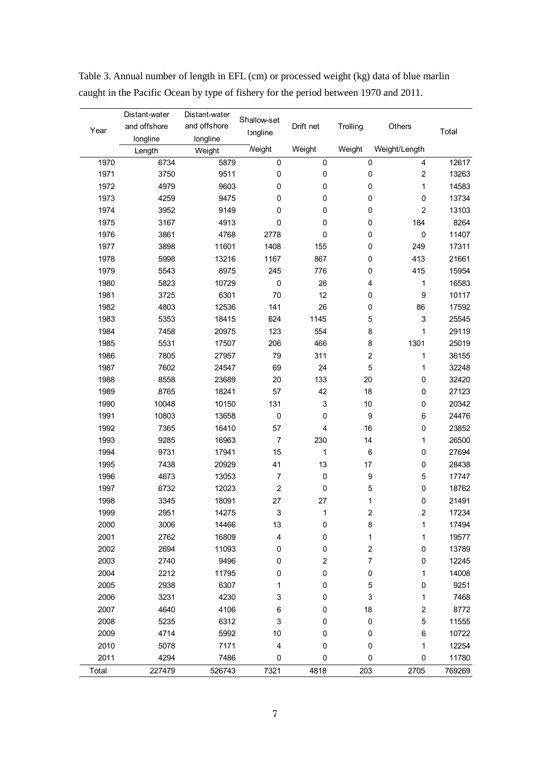|       | Distant-water | Distant-water | Shallow-set             |              |                         |                         |        |
|-------|---------------|---------------|-------------------------|--------------|-------------------------|-------------------------|--------|
| Year  | and offshore  | and offshore  | Iongline                | Drift net    | Trolling                | Others                  | Total  |
|       | longline      | longline      |                         |              |                         |                         |        |
|       | Length        | Weight        | <b>Neight</b>           | Weight       | Weight                  | Weight/Length           |        |
| 1970  | 6734          | 5879          | $\pmb{0}$               | 0            | $\pmb{0}$               | $\overline{\mathbf{4}}$ | 12617  |
| 1971  | 3750          | 9511          | 0                       | 0            | $\pmb{0}$               | $\overline{c}$          | 13263  |
| 1972  | 4979          | 9603          | 0                       | 0            | 0                       | $\mathbf{1}$            | 14583  |
| 1973  | 4259          | 9475          | $\pmb{0}$               | $\pmb{0}$    | 0                       | $\pmb{0}$               | 13734  |
| 1974  | 3952          | 9149          | 0                       | 0            | 0                       | $\sqrt{2}$              | 13103  |
| 1975  | 3167          | 4913          | 0                       | 0            | 0                       | 184                     | 8264   |
| 1976  | 3861          | 4768          | 2778                    | 0            | 0                       | $\pmb{0}$               | 11407  |
| 1977  | 3898          | 11601         | 1408                    | 155          | 0                       | 249                     | 17311  |
| 1978  | 5998          | 13216         | 1167                    | 867          | 0                       | 413                     | 21661  |
| 1979  | 5543          | 8975          | 245                     | 776          | 0                       | 415                     | 15954  |
| 1980  | 5823          | 10729         | $\pmb{0}$               | 26           | 4                       | 1                       | 16583  |
| 1981  | 3725          | 6301          | 70                      | 12           | 0                       | 9                       | 10117  |
| 1982  | 4803          | 12536         | 141                     | 26           | 0                       | 86                      | 17592  |
| 1983  | 5353          | 18415         | 624                     | 1145         | 5                       | 3                       | 25545  |
| 1984  | 7458          | 20975         | 123                     | 554          | 8                       | $\mathbf{1}$            | 29119  |
| 1985  | 5531          | 17507         | 206                     | 466          | 8                       | 1301                    | 25019  |
| 1986  | 7805          | 27957         | 79                      | 311          | $\overline{\mathbf{c}}$ | 1                       | 36155  |
| 1987  | 7602          | 24547         | 69                      | 24           | 5                       | 1                       | 32248  |
| 1988  | 8558          | 23689         | 20                      | 133          | 20                      | $\pmb{0}$               | 32420  |
| 1989  | 8765          | 18241         | 57                      | 42           | 18                      | $\pmb{0}$               | 27123  |
| 1990  | 10048         | 10150         | 131                     | 3            | $10$                    | $\pmb{0}$               | 20342  |
| 1991  | 10803         | 13658         | $\pmb{0}$               | 0            | 9                       | 6                       | 24476  |
| 1992  | 7365          | 16410         | 57                      | 4            | 16                      | 0                       | 23852  |
| 1993  | 9285          | 16963         | $\overline{7}$          | 230          | 14                      | 1                       | 26500  |
| 1994  | 9731          | 17941         | 15                      | $\mathbf{1}$ | 6                       | $\pmb{0}$               | 27694  |
| 1995  | 7438          | 20929         | 41                      | 13           | 17                      | $\pmb{0}$               | 28438  |
| 1996  | 4673          | 13053         | $\boldsymbol{7}$        | 0            | 9                       | $\mathbf 5$             | 17747  |
| 1997  | 6732          | 12023         | $\mathbf 2$             | 0            | $\mathbf 5$             | $\pmb{0}$               | 18762  |
| 1998  | 3345          | 18091         | 27                      | 27           | 1                       | $\pmb{0}$               | 21491  |
| 1999  | 2951          | 14275         | 3                       | 1            | $\overline{\mathbf{c}}$ | $\overline{c}$          | 17234  |
| 2000  | 3006          | 14466         | 13                      | 0            | 8                       | 1                       | 17494  |
| 2001  | 2762          | 16809         | 4                       | 0            | 1                       | 1                       | 19577  |
| 2002  | 2694          | 11093         | 0                       | 0            | $\boldsymbol{2}$        | $\pmb{0}$               | 13789  |
| 2003  | 2740          | 9496          | 0                       | $\sqrt{2}$   | 7                       | 0                       | 12245  |
| 2004  | 2212          | 11795         | 0                       | 0            | $\pmb{0}$               | 1                       | 14008  |
| 2005  | 2938          | 6307          | 1                       | 0            | 5                       | $\pmb{0}$               | 9251   |
| 2006  | 3231          | 4230          | 3                       | 0            | 3                       | 1                       | 7468   |
| 2007  | 4640          | 4106          | 6                       | 0            | 18                      | $\boldsymbol{2}$        | 8772   |
| 2008  | 5235          | 6312          | 3                       | 0            | $\pmb{0}$               | $\mathbf 5$             | 11555  |
| 2009  | 4714          | 5992          | 10                      | 0            | 0                       | $\,6$                   | 10722  |
| 2010  | 5078          | 7171          | $\overline{\mathbf{4}}$ | 0            | 0                       | 1                       | 12254  |
| 2011  | 4294          | 7486          | $\pmb{0}$               | 0            | 0                       | $\pmb{0}$               | 11780  |
| Total | 227479        | 526743        | 7321                    | 4818         | 203                     | 2705                    | 769269 |

Table 3. Annual number of length in EFL (cm) or processed weight (kg) data of blue marlin caught in the Pacific Ocean by type of fishery for the period between 1970 and 2011.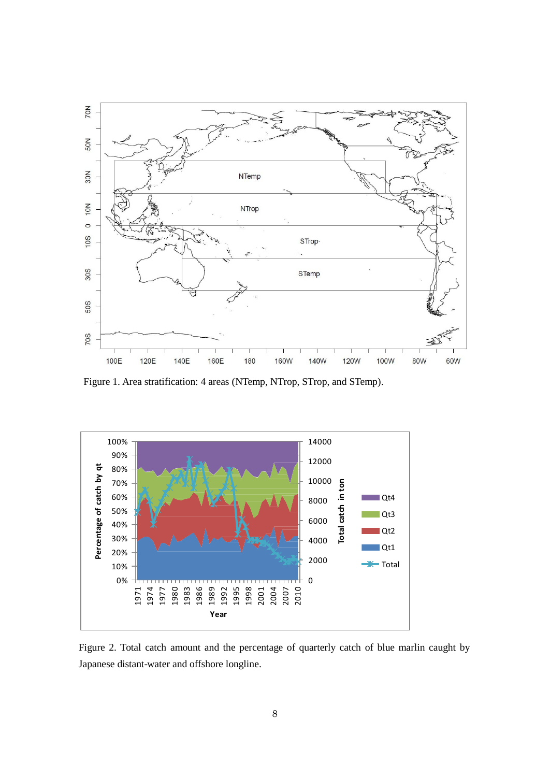

Figure 1. Area stratification: 4 areas (NTemp, NTrop, STrop, and STemp).



Figure 2. Total catch amount and the percentage of quarterly catch of blue marlin caught by Japanese distant-water and offshore longline.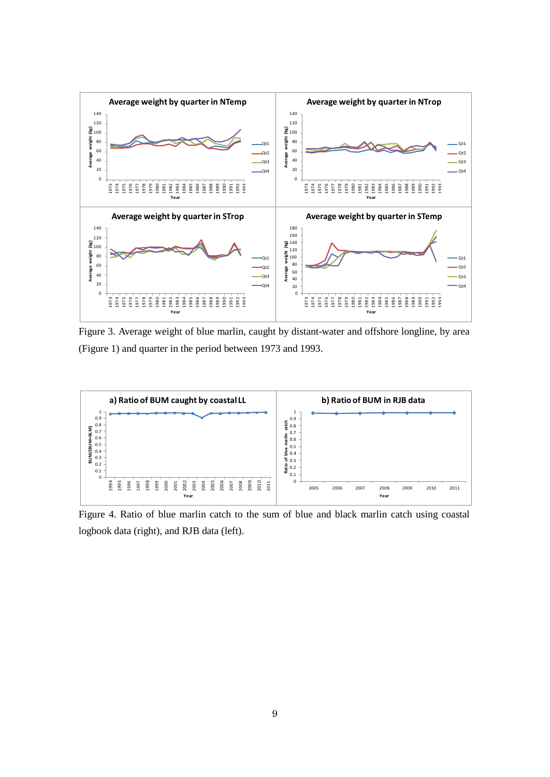

Figure 3. Average weight of blue marlin, caught by distant-water and offshore longline, by area (Figure 1) and quarter in the period between 1973 and 1993.



Figure 4. Ratio of blue marlin catch to the sum of blue and black marlin catch using coastal logbook data (right), and RJB data (left).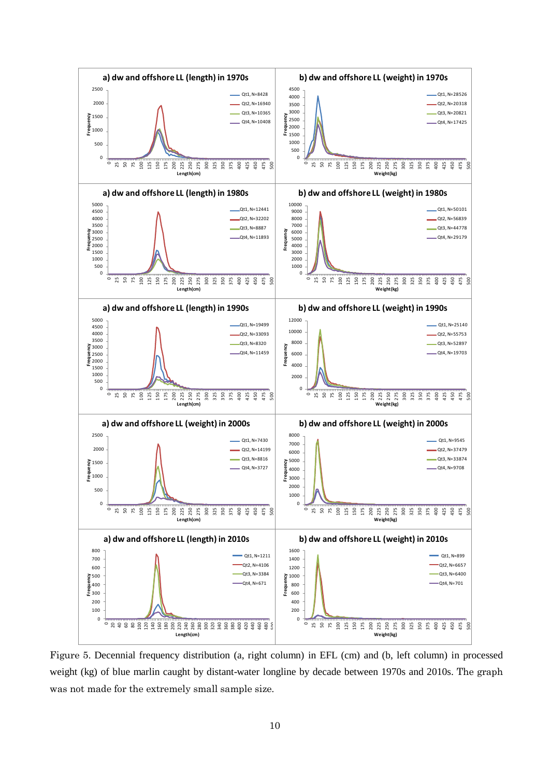

Figure 5. Decennial frequency distribution (a, right column) in EFL (cm) and (b, left column) in processed weight (kg) of blue marlin caught by distant-water longline by decade between 1970s and 2010s. The graph was not made for the extremely small sample size.